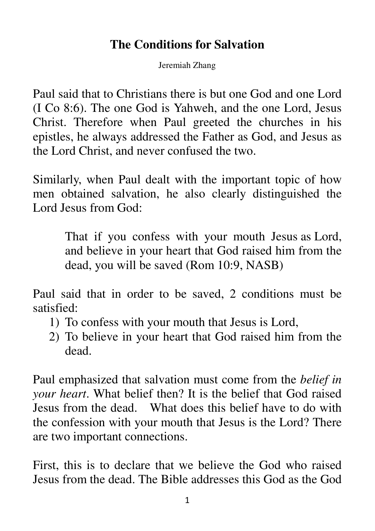## **The Conditions for Salvation**

Jeremiah Zhang

Paul said that to Christians there is but one God and one Lord (I Co 8:6). The one God is Yahweh, and the one Lord, Jesus Christ. Therefore when Paul greeted the churches in his epistles, he always addressed the Father as God, and Jesus as the Lord Christ, and never confused the two.

Similarly, when Paul dealt with the important topic of how men obtained salvation, he also clearly distinguished the Lord Jesus from God:

> That if you confess with your mouth Jesus as Lord, and believe in your heart that God raised him from the dead, you will be saved (Rom 10:9, NASB)

Paul said that in order to be saved, 2 conditions must be satisfied:

- 1) To confess with your mouth that Jesus is Lord,
- 2) To believe in your heart that God raised him from the dead.

Paul emphasized that salvation must come from the *belief in your heart*. What belief then? It is the belief that God raised Jesus from the dead. What does this belief have to do with the confession with your mouth that Jesus is the Lord? There are two important connections.

First, this is to declare that we believe the God who raised Jesus from the dead. The Bible addresses this God as the God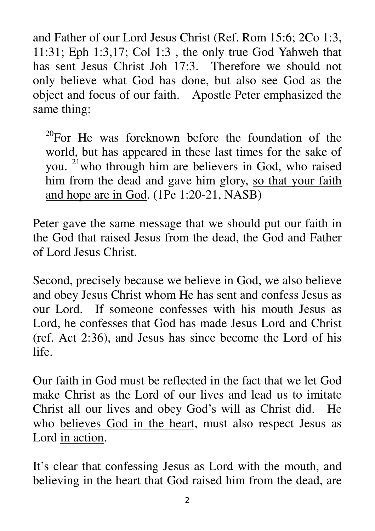and Father of our Lord Jesus Christ (Ref. Rom 15:6; 2Co 1:3, 11:31; Eph 1:3,17; Col 1:3 , the only true God Yahweh that has sent Jesus Christ Joh 17:3. Therefore we should not only believe what God has done, but also see God as the object and focus of our faith. Apostle Peter emphasized the same thing:

 $^{20}$ For He was foreknown before the foundation of the world, but has appeared in these last times for the sake of you. <sup>21</sup>who through him are believers in God, who raised him from the dead and gave him glory, so that your faith and hope are in God. (1Pe 1:20-21, NASB)

Peter gave the same message that we should put our faith in the God that raised Jesus from the dead, the God and Father of Lord Jesus Christ.

Second, precisely because we believe in God, we also believe and obey Jesus Christ whom He has sent and confess Jesus as our Lord. If someone confesses with his mouth Jesus as Lord, he confesses that God has made Jesus Lord and Christ (ref. Act 2:36), and Jesus has since become the Lord of his life.

Our faith in God must be reflected in the fact that we let God make Christ as the Lord of our lives and lead us to imitate Christ all our lives and obey God's will as Christ did. He who believes God in the heart, must also respect Jesus as Lord in action.

It's clear that confessing Jesus as Lord with the mouth, and believing in the heart that God raised him from the dead, are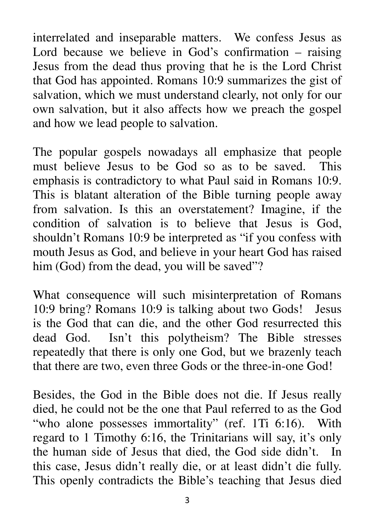interrelated and inseparable matters. We confess Jesus as Lord because we believe in God's confirmation – raising Jesus from the dead thus proving that he is the Lord Christ that God has appointed. Romans 10:9 summarizes the gist of salvation, which we must understand clearly, not only for our own salvation, but it also affects how we preach the gospel and how we lead people to salvation.

The popular gospels nowadays all emphasize that people must believe Jesus to be God so as to be saved. This emphasis is contradictory to what Paul said in Romans 10:9. This is blatant alteration of the Bible turning people away from salvation. Is this an overstatement? Imagine, if the condition of salvation is to believe that Jesus is God, shouldn't Romans 10:9 be interpreted as "if you confess with mouth Jesus as God, and believe in your heart God has raised him (God) from the dead, you will be saved"?

What consequence will such misinterpretation of Romans 10:9 bring? Romans 10:9 is talking about two Gods! Jesus is the God that can die, and the other God resurrected this dead God. Isn't this polytheism? The Bible stresses repeatedly that there is only one God, but we brazenly teach that there are two, even three Gods or the three-in-one God!

Besides, the God in the Bible does not die. If Jesus really died, he could not be the one that Paul referred to as the God "who alone possesses immortality" (ref. 1Ti 6:16). With regard to 1 Timothy 6:16, the Trinitarians will say, it's only the human side of Jesus that died, the God side didn't. In this case, Jesus didn't really die, or at least didn't die fully. This openly contradicts the Bible's teaching that Jesus died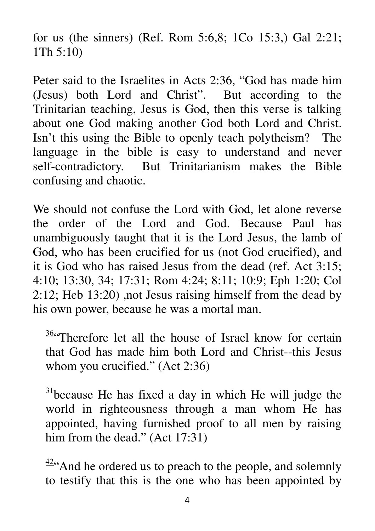for us (the sinners) (Ref. Rom 5:6,8; 1Co 15:3,) Gal 2:21; 1Th 5:10)

Peter said to the Israelites in Acts 2:36, "God has made him (Jesus) both Lord and Christ". But according to the Trinitarian teaching, Jesus is God, then this verse is talking about one God making another God both Lord and Christ. Isn't this using the Bible to openly teach polytheism? The language in the bible is easy to understand and never self-contradictory. But Trinitarianism makes the Bible confusing and chaotic.

We should not confuse the Lord with God, let alone reverse the order of the Lord and God. Because Paul has unambiguously taught that it is the Lord Jesus, the lamb of God, who has been crucified for us (not God crucified), and it is God who has raised Jesus from the dead (ref. Act 3:15; 4:10; 13:30, 34; 17:31; Rom 4:24; 8:11; 10:9; Eph 1:20; Col 2:12; Heb 13:20) ,not Jesus raising himself from the dead by his own power, because he was a mortal man.

 $36$  Therefore let all the house of Israel know for certain that God has made him both Lord and Christ--this Jesus whom you crucified." (Act 2:36)

 $31$ because He has fixed a day in which He will judge the world in righteousness through a man whom He has appointed, having furnished proof to all men by raising him from the dead." (Act 17:31)

 $\frac{42}{3}$ And he ordered us to preach to the people, and solemnly to testify that this is the one who has been appointed by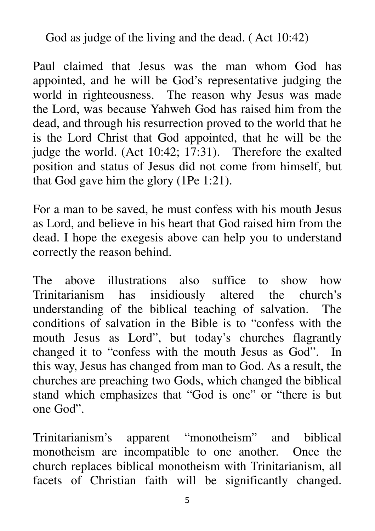God as judge of the living and the dead. ( Act 10:42)

Paul claimed that Jesus was the man whom God has appointed, and he will be God's representative judging the world in righteousness. The reason why Jesus was made the Lord, was because Yahweh God has raised him from the dead, and through his resurrection proved to the world that he is the Lord Christ that God appointed, that he will be the judge the world. (Act 10:42; 17:31). Therefore the exalted position and status of Jesus did not come from himself, but that God gave him the glory (1Pe 1:21).

For a man to be saved, he must confess with his mouth Jesus as Lord, and believe in his heart that God raised him from the dead. I hope the exegesis above can help you to understand correctly the reason behind.

The above illustrations also suffice to show how Trinitarianism has insidiously altered the church's understanding of the biblical teaching of salvation. The conditions of salvation in the Bible is to "confess with the mouth Jesus as Lord", but today's churches flagrantly changed it to "confess with the mouth Jesus as God". In this way, Jesus has changed from man to God. As a result, the churches are preaching two Gods, which changed the biblical stand which emphasizes that "God is one" or "there is but one God".

Trinitarianism's apparent "monotheism" and biblical monotheism are incompatible to one another. Once the church replaces biblical monotheism with Trinitarianism, all facets of Christian faith will be significantly changed.